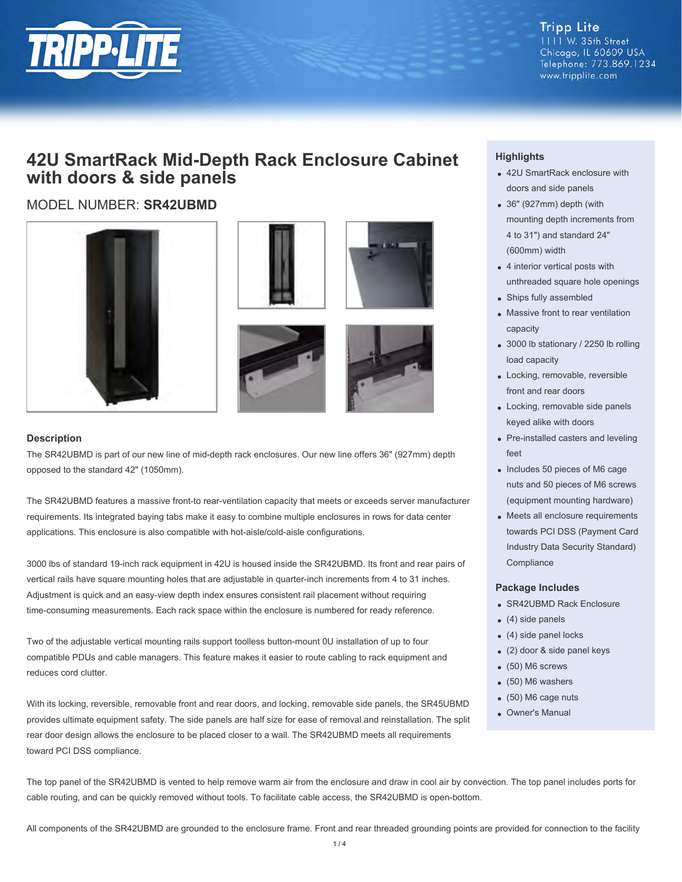

**Tripp Lite** 1111 W. 35th Street Chicago, IL 60609 USA Telephone: 773.869.1234 www.tripplite.com

## **42U SmartRack Mid-Depth Rack Enclosure Cabinet with doors & side panels**

## MODEL NUMBER: **SR42UBMD**









#### **Description**

The SR42UBMD is part of our new line of mid-depth rack enclosures. Our new line offers 36" (927mm) depth opposed to the standard 42" (1050mm).

The SR42UBMD features a massive front-to rear-ventilation capacity that meets or exceeds server manufacturer requirements. Its integrated baying tabs make it easy to combine multiple enclosures in rows for data center applications. This enclosure is also compatible with hot-aisle/cold-aisle configurations.

3000 lbs of standard 19-inch rack equipment in 42U is housed inside the SR42UBMD. Its front and rear pairs of vertical rails have square mounting holes that are adjustable in quarter-inch increments from 4 to 31 inches. Adjustment is quick and an easy-view depth index ensures consistent rail placement without requiring time-consuming measurements. Each rack space within the enclosure is numbered for ready reference.

Two of the adjustable vertical mounting rails support toolless button-mount 0U installation of up to four compatible PDUs and cable managers. This feature makes it easier to route cabling to rack equipment and reduces cord clutter.

With its locking, reversible, removable front and rear doors, and locking, removable side panels, the SR45UBMD provides ultimate equipment safety. The side panels are half size for ease of removal and reinstallation. The split rear door design allows the enclosure to be placed closer to a wall. The SR42UBMD meets all requirements toward PCI DSS compliance.

### **Highlights**

- 42U SmartRack enclosure with doors and side panels
- 36" (927mm) depth (with mounting depth increments from 4 to 31") and standard 24" (600mm) width
- 4 interior vertical posts with unthreaded square hole openings
- Ships fully assembled
- Massive front to rear ventilation capacity
- 3000 lb stationary / 2250 lb rolling load capacity
- Locking, removable, reversible front and rear doors
- Locking, removable side panels keyed alike with doors
- Pre-installed casters and leveling feet
- Includes 50 pieces of M6 cage nuts and 50 pieces of M6 screws (equipment mounting hardware)
- Meets all enclosure requirements towards PCI DSS (Payment Card Industry Data Security Standard) **Compliance**

#### **Package Includes**

- SR42UBMD Rack Enclosure
- (4) side panels
- (4) side panel locks
- (2) door & side panel keys
- (50) M6 screws
- (50) M6 washers
- (50) M6 cage nuts
- Owner's Manual

The top panel of the SR42UBMD is vented to help remove warm air from the enclosure and draw in cool air by convection. The top panel includes ports for cable routing, and can be quickly removed without tools. To facilitate cable access, the SR42UBMD is open-bottom.

All components of the SR42UBMD are grounded to the enclosure frame. Front and rear threaded grounding points are provided for connection to the facility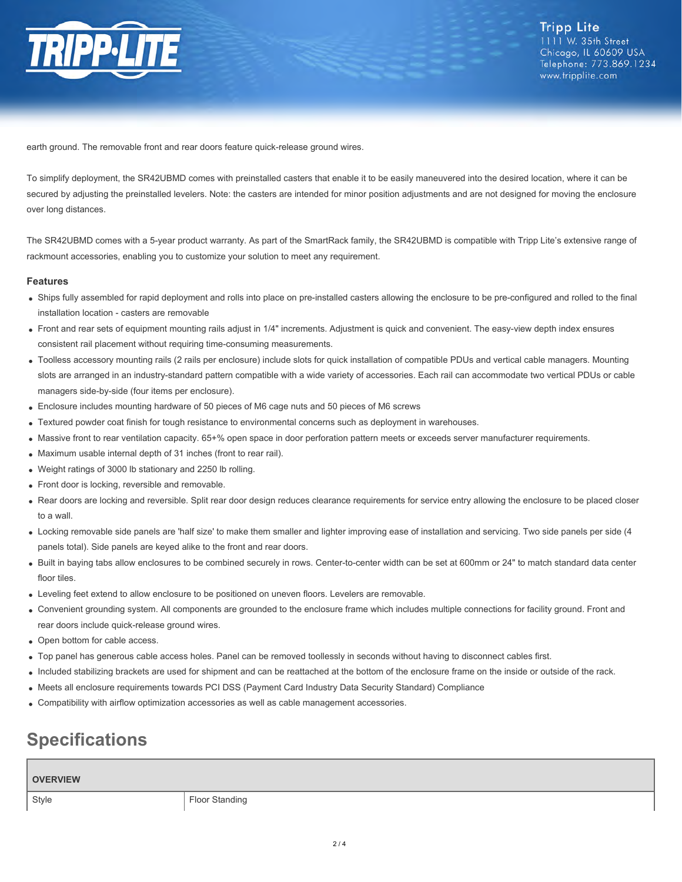

earth ground. The removable front and rear doors feature quick-release ground wires.

To simplify deployment, the SR42UBMD comes with preinstalled casters that enable it to be easily maneuvered into the desired location, where it can be secured by adjusting the preinstalled levelers. Note: the casters are intended for minor position adjustments and are not designed for moving the enclosure over long distances.

The SR42UBMD comes with a 5-year product warranty. As part of the SmartRack family, the SR42UBMD is compatible with Tripp Lite's extensive range of rackmount accessories, enabling you to customize your solution to meet any requirement.

#### **Features**

- Ships fully assembled for rapid deployment and rolls into place on pre-installed casters allowing the enclosure to be pre-configured and rolled to the final installation location - casters are removable
- Front and rear sets of equipment mounting rails adjust in 1/4" increments. Adjustment is quick and convenient. The easy-view depth index ensures consistent rail placement without requiring time-consuming measurements.
- Toolless accessory mounting rails (2 rails per enclosure) include slots for quick installation of compatible PDUs and vertical cable managers. Mounting slots are arranged in an industry-standard pattern compatible with a wide variety of accessories. Each rail can accommodate two vertical PDUs or cable managers side-by-side (four items per enclosure).
- Enclosure includes mounting hardware of 50 pieces of M6 cage nuts and 50 pieces of M6 screws
- Textured powder coat finish for tough resistance to environmental concerns such as deployment in warehouses.
- Massive front to rear ventilation capacity. 65+% open space in door perforation pattern meets or exceeds server manufacturer requirements.
- Maximum usable internal depth of 31 inches (front to rear rail).
- Weight ratings of 3000 lb stationary and 2250 lb rolling.
- Front door is locking, reversible and removable.
- Rear doors are locking and reversible. Split rear door design reduces clearance requirements for service entry allowing the enclosure to be placed closer to a wall.
- Locking removable side panels are 'half size' to make them smaller and lighter improving ease of installation and servicing. Two side panels per side (4 panels total). Side panels are keyed alike to the front and rear doors.
- Built in baying tabs allow enclosures to be combined securely in rows. Center-to-center width can be set at 600mm or 24" to match standard data center floor tiles.
- Leveling feet extend to allow enclosure to be positioned on uneven floors. Levelers are removable.
- Convenient grounding system. All components are grounded to the enclosure frame which includes multiple connections for facility ground. Front and rear doors include quick-release ground wires.
- Open bottom for cable access.
- Top panel has generous cable access holes. Panel can be removed toollessly in seconds without having to disconnect cables first.
- Included stabilizing brackets are used for shipment and can be reattached at the bottom of the enclosure frame on the inside or outside of the rack.
- Meets all enclosure requirements towards PCI DSS (Payment Card Industry Data Security Standard) Compliance
- Compatibility with airflow optimization accessories as well as cable management accessories.

# **Specifications**

#### **OVERVIEW**

Style **Floor Standing**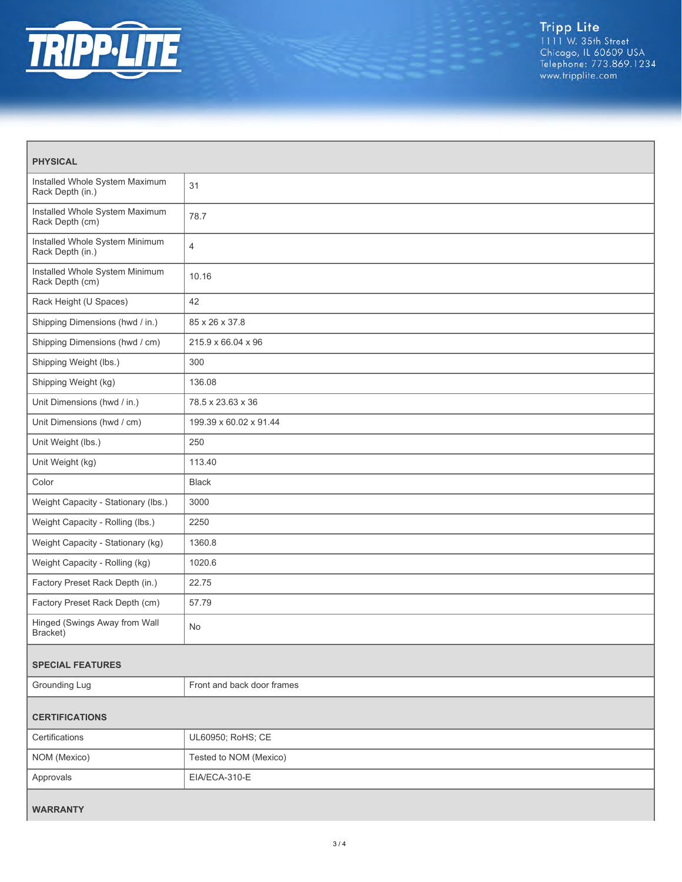

| <b>PHYSICAL</b>                                    |                            |
|----------------------------------------------------|----------------------------|
| Installed Whole System Maximum<br>Rack Depth (in.) | 31                         |
| Installed Whole System Maximum<br>Rack Depth (cm)  | 78.7                       |
| Installed Whole System Minimum<br>Rack Depth (in.) | 4                          |
| Installed Whole System Minimum<br>Rack Depth (cm)  | 10.16                      |
| Rack Height (U Spaces)                             | 42                         |
| Shipping Dimensions (hwd / in.)                    | 85 x 26 x 37.8             |
| Shipping Dimensions (hwd / cm)                     | 215.9 x 66.04 x 96         |
| Shipping Weight (lbs.)                             | 300                        |
| Shipping Weight (kg)                               | 136.08                     |
| Unit Dimensions (hwd / in.)                        | 78.5 x 23.63 x 36          |
| Unit Dimensions (hwd / cm)                         | 199.39 x 60.02 x 91.44     |
| Unit Weight (lbs.)                                 | 250                        |
| Unit Weight (kg)                                   | 113.40                     |
| Color                                              | <b>Black</b>               |
| Weight Capacity - Stationary (lbs.)                | 3000                       |
| Weight Capacity - Rolling (lbs.)                   | 2250                       |
| Weight Capacity - Stationary (kg)                  | 1360.8                     |
| Weight Capacity - Rolling (kg)                     | 1020.6                     |
| Factory Preset Rack Depth (in.)                    | 22.75                      |
| Factory Preset Rack Depth (cm)                     | 57.79                      |
| Hinged (Swings Away from Wall<br>Bracket)          | No.                        |
| <b>SPECIAL FEATURES</b>                            |                            |
| Grounding Lug                                      | Front and back door frames |
| <b>CERTIFICATIONS</b>                              |                            |
| Certifications                                     | UL60950; RoHS; CE          |
| NOM (Mexico)                                       | Tested to NOM (Mexico)     |
| Approvals                                          | EIA/ECA-310-E              |
| <b>WARRANTY</b>                                    |                            |